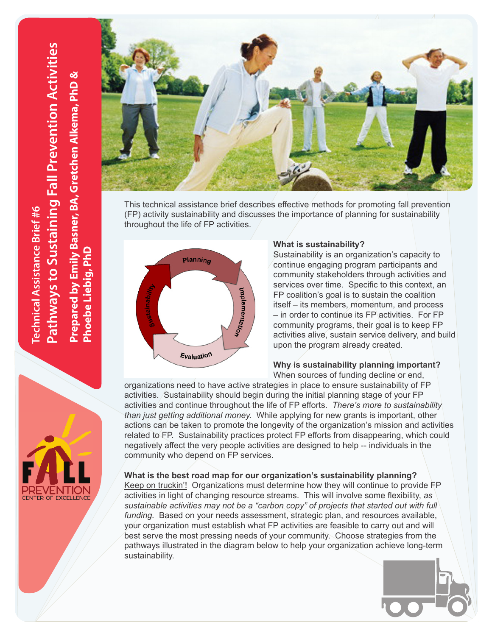

This technical assistance brief describes effective methods for promoting fall prevention (FP) activity sustainability and discusses the importance of planning for sustainability throughout the life of FP activities.



### **What is sustainability?**

Sustainability is an organization's capacity to continue engaging program participants and community stakeholders through activities and services over time. Specific to this context, an FP coalition's goal is to sustain the coalition itself – its members, momentum, and process – in order to continue its FP activities. For FP community programs, their goal is to keep FP activities alive, sustain service delivery, and build upon the program already created.

# **Why is sustainability planning important?**

When sources of funding decline or end,

organizations need to have active strategies in place to ensure sustainability of FP activities. Sustainability should begin during the initial planning stage of your FP activities and continue throughout the life of FP efforts. *There's more to sustainability than just getting additional money.* While applying for new grants is important, other actions can be taken to promote the longevity of the organization's mission and activities related to FP. Sustainability practices protect FP efforts from disappearing, which could negatively affect the very people activities are designed to help -- individuals in the community who depend on FP services.

# **What is the best road map for our organization's sustainability planning?**

Keep on truckin'!Organizations must determine how they will continue to provide FP activities in light of changing resource streams. This will involve some flexibility, *as sustainable activities may not be a "carbon copy" of projects that started out with full funding.* Based on your needs assessment, strategic plan, and resources available, your organization must establish what FP activities are feasible to carry out and will best serve the most pressing needs of your community. Choose strategies from the pathways illustrated in the diagram below to help your organization achieve long-term sustainability.



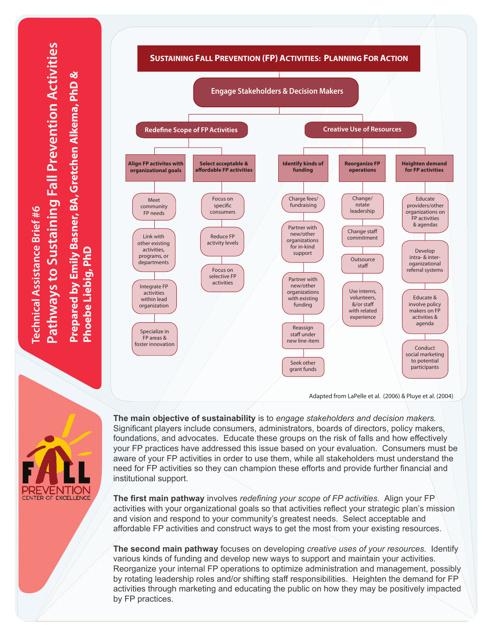athways to Sustaining Fall Prevention Activities **Pathways to Sustaining Fall Prevention Activities Prepared by Emily Basner, BA, Gretchen Alkema, PhD &**  Prepared by Emily Basner, BA, Gretchen Alkema, PhD & echnical Assistance Brief #6 **Technical Assistance Brief #6** hoebe Liebig, PhD **Phoebe Liebig, PhD**



**PREVENTION**<br>CENTER OF EXCELLENCE

**The main objective of sustainability** is to *engage stakeholders and decision makers.*  Significant players include consumers, administrators, boards of directors, policy makers, foundations, and advocates. Educate these groups on the risk of falls and how effectively your FP practices have addressed this issue based on your evaluation. Consumers must be aware of your FP activities in order to use them, while all stakeholders must understand the need for FP activities so they can champion these efforts and provide further financial and institutional support.

**The first main pathway** involves *redefining your scope of FP activities.* Align your FP activities with your organizational goals so that activities reflect your strategic plan's mission and vision and respond to your community's greatest needs. Select acceptable and affordable FP activities and construct ways to get the most from your existing resources.

**The second main pathway** focuses on developing *creative uses of your resources.* Identify various kinds of funding and develop new ways to support and maintain your activities. Reorganize your internal FP operations to optimize administration and management, possibly by rotating leadership roles and/or shifting staff responsibilities. Heighten the demand for FP activities through marketing and educating the public on how they may be positively impacted by FP practices.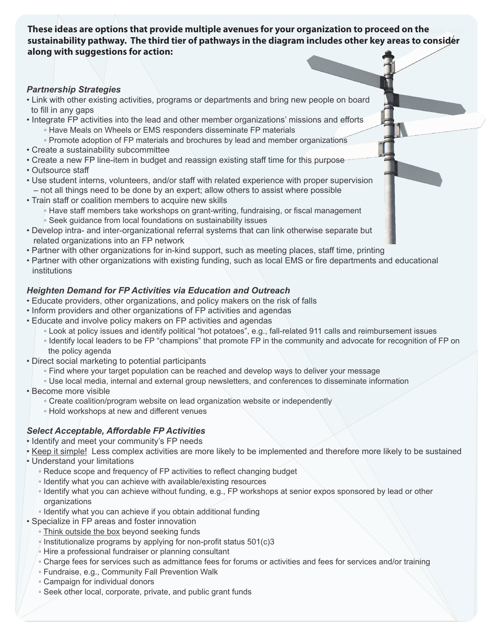**These ideas are options that provide multiple avenues for your organization to proceed on the costant of the s sustainability pathway. The third tier of pathways in the diagram includes other key areas to consider along with suggestions for action:**

## *Partnership Strategies*

- Link with other existing activities, programs or departments and bring new people on board to fill in any gaps
- Integrate FP activities into the lead and other member organizations' missions and efforts
	- Have Meals on Wheels or EMS responders disseminate FP materials
	- Promote adoption of FP materials and brochures by lead and member organizations
- Create a sustainability subcommittee
- Create a new FP line-item in budget and reassign existing staff time for this purpose
- Outsource staff
- Use student interns, volunteers, and/or staff with related experience with proper supervision – not all things need to be done by an expert; allow others to assist where possible
- Train staff or coalition members to acquire new skills
	- Have staff members take workshops on grant-writing, fundraising, or fiscal management
	- Seek guidance from local foundations on sustainability issues
- Develop intra- and inter-organizational referral systems that can link otherwise separate but related organizations into an FP network
- Partner with other organizations for in-kind support, such as meeting places, staff time, printing
- Partner with other organizations with existing funding, such as local EMS or fire departments and educational institutions

# *Heighten Demand for FP Activities via Education and Outreach*

- Educate providers, other organizations, and policy makers on the risk of falls
- Inform providers and other organizations of FP activities and agendas
- Educate and involve policy makers on FP activities and agendas
	- Look at policy issues and identify political "hot potatoes", e.g., fall-related 911 calls and reimbursement issues
	- Identify local leaders to be FP "champions" that promote FP in the community and advocate for recognition of FP on the policy agenda
- Direct social marketing to potential participants
	- Find where your target population can be reached and develop ways to deliver your message
	- Use local media, internal and external group newsletters, and conferences to disseminate information
- Become more visible
	- Create coalition/program website on lead organization website or independently
	- Hold workshops at new and different venues

# *Select Acceptable, Affordable FP Activities*

- Identify and meet your community's FP needs
- Keep it simple! Less complex activities are more likely to be implemented and therefore more likely to be sustained
- Understand your limitations
	- Reduce scope and frequency of FP activities to reflect changing budget
	- Identify what you can achieve with available/existing resources
	- Identify what you can achieve without funding, e.g., FP workshops at senior expos sponsored by lead or other organizations
	- Identify what you can achieve if you obtain additional funding
- Specialize in FP areas and foster innovation
	- Think outside the box beyond seeking funds
	- $\frac{1}{2}$  Institutionalize programs by applying for non-profit status 501(c)3
	- $\overline{\text{}}$  Hire a professional fundraiser or planning consultant
	- Charge fees for services such as admittance fees for forums or activities and fees for services and/or training
	- Fundraise, e.g., Community Fall Prevention Walk
	- Campaign for individual donors
	- Seek other local, corporate, private, and public grant funds